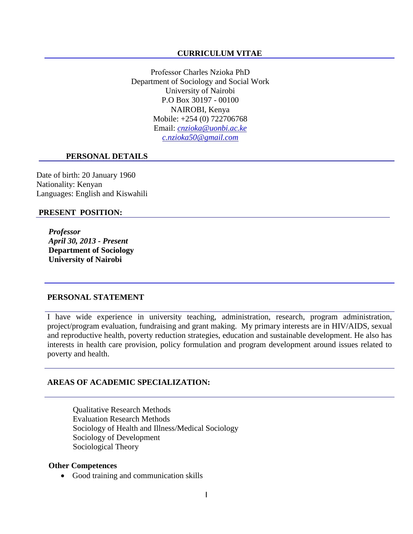#### **CURRICULUM VITAE**

Professor Charles Nzioka PhD Department of Sociology and Social Work University of Nairobi P.O Box 30197 - 00100 NAIROBI, Kenya Mobile: +254 (0) 722706768 Email: *[cnzioka@uonbi.ac.ke](mailto:cnzioka@uonbi.ac.ke) [c.nzioka50@gmail.com](mailto:c.nzioka50@gmail.com)*

#### **PERSONAL DETAILS**

Date of birth: 20 January 1960 Nationality: Kenyan Languages: English and Kiswahili

#### **PRESENT POSITION:**

*Professor April 30, 2013 - Present* **Department of Sociology University of Nairobi** 

### **PERSONAL STATEMENT**

I have wide experience in university teaching, administration, research, program administration, project/program evaluation, fundraising and grant making. My primary interests are in HIV/AIDS, sexual and reproductive health, poverty reduction strategies, education and sustainable development. He also has interests in health care provision, policy formulation and program development around issues related to poverty and health.

### **AREAS OF ACADEMIC SPECIALIZATION:**

Qualitative Research Methods Evaluation Research Methods Sociology of Health and Illness/Medical Sociology Sociology of Development Sociological Theory

#### **Other Competences**

• Good training and communication skills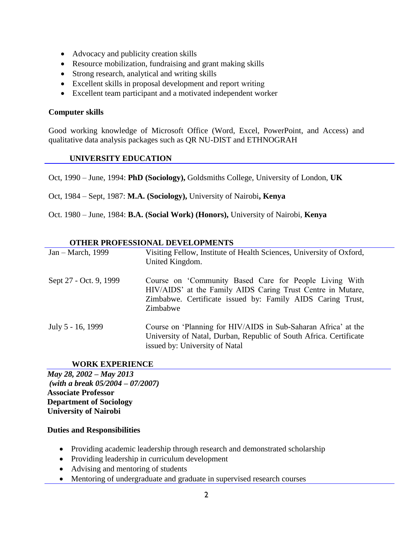- Advocacy and publicity creation skills
- Resource mobilization, fundraising and grant making skills
- Strong research, analytical and writing skills
- Excellent skills in proposal development and report writing
- Excellent team participant and a motivated independent worker

### **Computer skills**

Good working knowledge of Microsoft Office (Word, Excel, PowerPoint, and Access) and qualitative data analysis packages such as QR NU-DIST and ETHNOGRAH

#### **UNIVERSITY EDUCATION**

Oct, 1990 – June, 1994: **PhD (Sociology),** Goldsmiths College, University of London, **UK** 

Oct, 1984 – Sept, 1987: **M.A. (Sociology),** University of Nairobi**, Kenya**

Oct. 1980 – June, 1984: **B.A. (Social Work) (Honors),** University of Nairobi, **Kenya**

#### **OTHER PROFESSIONAL DEVELOPMENTS**

| Jan – March, 1999      | Visiting Fellow, Institute of Health Sciences, University of Oxford,<br>United Kingdom.                                                                                                         |
|------------------------|-------------------------------------------------------------------------------------------------------------------------------------------------------------------------------------------------|
| Sept 27 - Oct. 9, 1999 | Course on 'Community Based Care for People Living With<br>HIV/AIDS' at the Family AIDS Caring Trust Centre in Mutare,<br>Zimbabwe. Certificate issued by: Family AIDS Caring Trust,<br>Zimbabwe |
| July 5 - 16, 1999      | Course on 'Planning for HIV/AIDS in Sub-Saharan Africa' at the<br>University of Natal, Durban, Republic of South Africa. Certificate<br>issued by: University of Natal                          |

### **WORK EXPERIENCE**

*May 28, 2002 – May 2013 (with a break 05/2004 – 07/2007)* **Associate Professor Department of Sociology University of Nairobi** 

### **Duties and Responsibilities**

- Providing academic leadership through research and demonstrated scholarship
- Providing leadership in curriculum development
- Advising and mentoring of students
- Mentoring of undergraduate and graduate in supervised research courses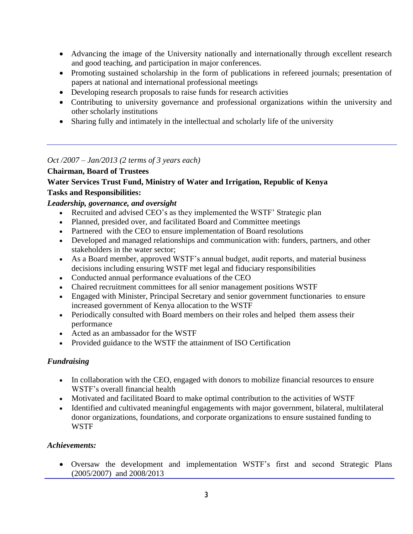- Advancing the image of the University nationally and internationally through excellent research and good teaching, and participation in major conferences.
- Promoting sustained scholarship in the form of publications in refereed journals; presentation of papers at national and international professional meetings
- Developing research proposals to raise funds for research activities
- Contributing to university governance and professional organizations within the university and other scholarly institutions
- Sharing fully and intimately in the intellectual and scholarly life of the university

*Oct /2007 – Jan/2013 (2 terms of 3 years each)*

## **Chairman, Board of Trustees**

# **Water Services Trust Fund, Ministry of Water and Irrigation, Republic of Kenya Tasks and Responsibilities:**

## *Leadership, governance, and oversight*

- Recruited and advised CEO's as they implemented the WSTF' Strategic plan
- Planned, presided over, and facilitated Board and Committee meetings
- Partnered with the CEO to ensure implementation of Board resolutions
- Developed and managed relationships and communication with: funders, partners, and other stakeholders in the water sector;
- As a Board member, approved WSTF's annual budget, audit reports, and material business decisions including ensuring WSTF met legal and fiduciary responsibilities
- Conducted annual performance evaluations of the CEO
- Chaired recruitment committees for all senior management positions WSTF
- Engaged with Minister, Principal Secretary and senior government functionaries to ensure increased government of Kenya allocation to the WSTF
- Periodically consulted with Board members on their roles and helped them assess their performance
- Acted as an ambassador for the WSTF
- Provided guidance to the WSTF the attainment of ISO Certification

# *Fundraising*

- In collaboration with the CEO, engaged with donors to mobilize financial resources to ensure WSTF's overall financial health
- Motivated and facilitated Board to make optimal contribution to the activities of WSTF
- Identified and cultivated meaningful engagements with major government, bilateral, multilateral donor organizations, foundations, and corporate organizations to ensure sustained funding to WSTF

# *Achievements:*

 Oversaw the development and implementation WSTF's first and second Strategic Plans (2005/2007) and 2008/2013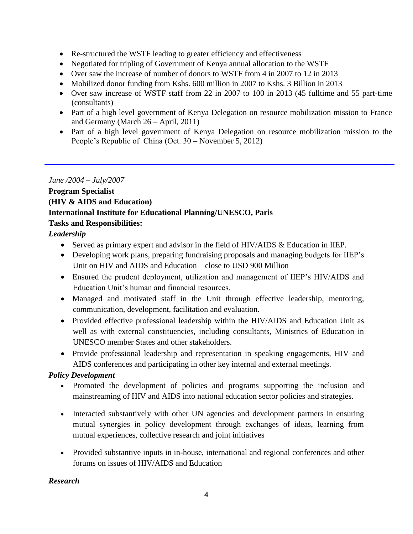- Re-structured the WSTF leading to greater efficiency and effectiveness
- Negotiated for tripling of Government of Kenya annual allocation to the WSTF
- Over saw the increase of number of donors to WSTF from 4 in 2007 to 12 in 2013
- Mobilized donor funding from Kshs. 600 million in 2007 to Kshs. 3 Billion in 2013
- Over saw increase of WSTF staff from 22 in 2007 to 100 in 2013 (45 fulltime and 55 part-time (consultants)
- Part of a high level government of Kenya Delegation on resource mobilization mission to France and Germany (March 26 – April, 2011)
- Part of a high level government of Kenya Delegation on resource mobilization mission to the People's Republic of China (Oct. 30 – November 5, 2012)

# *June /2004 – July/2007*

# **Program Specialist (HIV & AIDS and Education) International Institute for Educational Planning/UNESCO, Paris Tasks and Responsibilities:**

# *Leadership*

- Served as primary expert and advisor in the field of HIV/AIDS & Education in IIEP.
- Developing work plans, preparing fundraising proposals and managing budgets for IIEP's Unit on HIV and AIDS and Education – close to USD 900 Million
- Ensured the prudent deployment, utilization and management of IIEP's HIV/AIDS and Education Unit's human and financial resources.
- Managed and motivated staff in the Unit through effective leadership, mentoring, communication, development, facilitation and evaluation.
- Provided effective professional leadership within the HIV/AIDS and Education Unit as well as with external constituencies, including consultants, Ministries of Education in UNESCO member States and other stakeholders.
- Provide professional leadership and representation in speaking engagements, HIV and AIDS conferences and participating in other key internal and external meetings.

# *Policy Development*

- Promoted the development of policies and programs supporting the inclusion and mainstreaming of HIV and AIDS into national education sector policies and strategies.
- Interacted substantively with other UN agencies and development partners in ensuring mutual synergies in policy development through exchanges of ideas, learning from mutual experiences, collective research and joint initiatives
- Provided substantive inputs in in-house, international and regional conferences and other forums on issues of HIV/AIDS and Education

# *Research*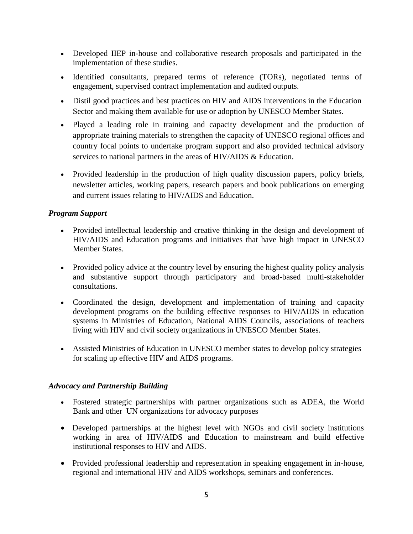- Developed IIEP in-house and collaborative research proposals and participated in the implementation of these studies.
- Identified consultants, prepared terms of reference (TORs), negotiated terms of engagement, supervised contract implementation and audited outputs.
- Distil good practices and best practices on HIV and AIDS interventions in the Education Sector and making them available for use or adoption by UNESCO Member States.
- Played a leading role in training and capacity development and the production of appropriate training materials to strengthen the capacity of UNESCO regional offices and country focal points to undertake program support and also provided technical advisory services to national partners in the areas of HIV/AIDS & Education.
- Provided leadership in the production of high quality discussion papers, policy briefs, newsletter articles, working papers, research papers and book publications on emerging and current issues relating to HIV/AIDS and Education.

## *Program Support*

- Provided intellectual leadership and creative thinking in the design and development of HIV/AIDS and Education programs and initiatives that have high impact in UNESCO Member States.
- Provided policy advice at the country level by ensuring the highest quality policy analysis and substantive support through participatory and broad-based multi-stakeholder consultations.
- Coordinated the design, development and implementation of training and capacity development programs on the building effective responses to HIV/AIDS in education systems in Ministries of Education, National AIDS Councils, associations of teachers living with HIV and civil society organizations in UNESCO Member States.
- Assisted Ministries of Education in UNESCO member states to develop policy strategies for scaling up effective HIV and AIDS programs.

## *Advocacy and Partnership Building*

- Fostered strategic partnerships with partner organizations such as ADEA, the World Bank and other UN organizations for advocacy purposes
- Developed partnerships at the highest level with NGOs and civil society institutions working in area of HIV/AIDS and Education to mainstream and build effective institutional responses to HIV and AIDS.
- Provided professional leadership and representation in speaking engagement in in-house, regional and international HIV and AIDS workshops, seminars and conferences.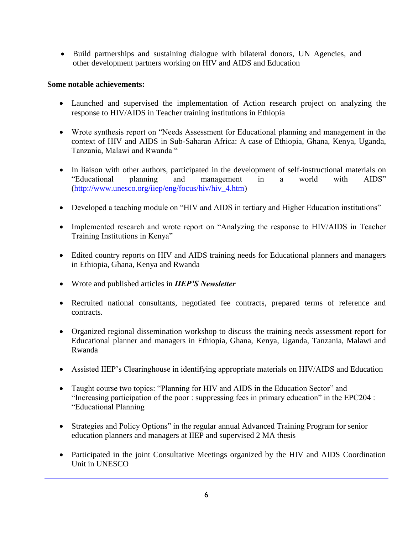• Build partnerships and sustaining dialogue with bilateral donors, UN Agencies, and other development partners working on HIV and AIDS and Education

## **Some notable achievements:**

- Launched and supervised the implementation of Action research project on analyzing the response to HIV/AIDS in Teacher training institutions in Ethiopia
- Wrote synthesis report on "Needs Assessment for Educational planning and management in the context of HIV and AIDS in Sub-Saharan Africa: A case of Ethiopia, Ghana, Kenya, Uganda, Tanzania, Malawi and Rwanda "
- In liaison with other authors, participated in the development of self-instructional materials on "Educational planning and management in a world with AIDS" (http://www.unesco.org/iiep/eng/focus/hiv/hiv\_4.htm)
- Developed a teaching module on "HIV and AIDS in tertiary and Higher Education institutions"
- Implemented research and wrote report on "Analyzing the response to HIV/AIDS in Teacher Training Institutions in Kenya"
- Edited country reports on HIV and AIDS training needs for Educational planners and managers in Ethiopia, Ghana, Kenya and Rwanda
- Wrote and published articles in *IIEP'S Newsletter*
- Recruited national consultants, negotiated fee contracts, prepared terms of reference and contracts.
- Organized regional dissemination workshop to discuss the training needs assessment report for Educational planner and managers in Ethiopia, Ghana, Kenya, Uganda, Tanzania, Malawi and Rwanda
- Assisted IIEP's Clearinghouse in identifying appropriate materials on HIV/AIDS and Education
- Taught course two topics: "Planning for HIV and AIDS in the Education Sector" and "Increasing participation of the poor : suppressing fees in primary education" in the EPC204 : "Educational Planning
- Strategies and Policy Options" in the regular annual Advanced Training Program for senior education planners and managers at IIEP and supervised 2 MA thesis
- Participated in the joint Consultative Meetings organized by the HIV and AIDS Coordination Unit in UNESCO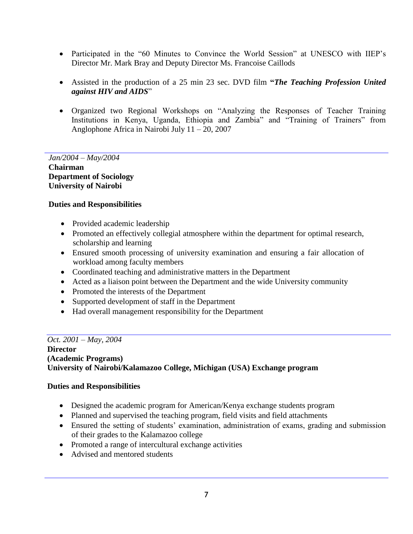- Participated in the "60 Minutes to Convince the World Session" at UNESCO with IIEP's Director Mr. Mark Bray and Deputy Director Ms. Francoise Caillods
- Assisted in the production of a 25 min 23 sec. DVD film **"***The Teaching Profession United against HIV and AIDS*"
- Organized two Regional Workshops on "Analyzing the Responses of Teacher Training Institutions in Kenya, Uganda, Ethiopia and Zambia" and "Training of Trainers" from Anglophone Africa in Nairobi July 11 – 20, 2007

## *Jan/2004 – May/2004* **Chairman**

**Department of Sociology University of Nairobi** 

## **Duties and Responsibilities**

- Provided academic leadership
- Promoted an effectively collegial atmosphere within the department for optimal research, scholarship and learning
- Ensured smooth processing of university examination and ensuring a fair allocation of workload among faculty members
- Coordinated teaching and administrative matters in the Department
- Acted as a liaison point between the Department and the wide University community
- Promoted the interests of the Department
- Supported development of staff in the Department
- Had overall management responsibility for the Department

## *Oct. 2001 – May, 2004*

**Director (Academic Programs) University of Nairobi/Kalamazoo College, Michigan (USA) Exchange program** 

## **Duties and Responsibilities**

- Designed the academic program for American/Kenya exchange students program
- Planned and supervised the teaching program, field visits and field attachments
- Ensured the setting of students' examination, administration of exams, grading and submission of their grades to the Kalamazoo college
- Promoted a range of intercultural exchange activities
- Advised and mentored students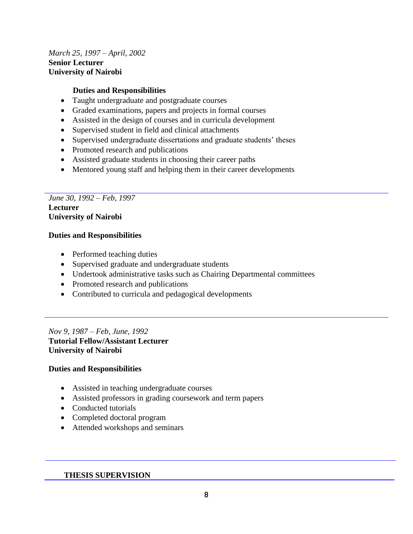## *March 25, 1997 – April, 2002* **Senior Lecturer University of Nairobi**

### **Duties and Responsibilities**

- Taught undergraduate and postgraduate courses
- Graded examinations, papers and projects in formal courses
- Assisted in the design of courses and in curricula development
- Supervised student in field and clinical attachments
- Supervised undergraduate dissertations and graduate students' theses
- Promoted research and publications
- Assisted graduate students in choosing their career paths
- Mentored young staff and helping them in their career developments

### *June 30, 1992 – Feb, 1997* **Lecturer University of Nairobi**

### **Duties and Responsibilities**

- Performed teaching duties
- Supervised graduate and undergraduate students
- Undertook administrative tasks such as Chairing Departmental committees
- Promoted research and publications
- Contributed to curricula and pedagogical developments

*Nov 9, 1987 – Feb, June, 1992* **Tutorial Fellow/Assistant Lecturer University of Nairobi** 

### **Duties and Responsibilities**

- Assisted in teaching undergraduate courses
- Assisted professors in grading coursework and term papers
- Conducted tutorials
- Completed doctoral program
- Attended workshops and seminars

### **THESIS SUPERVISION**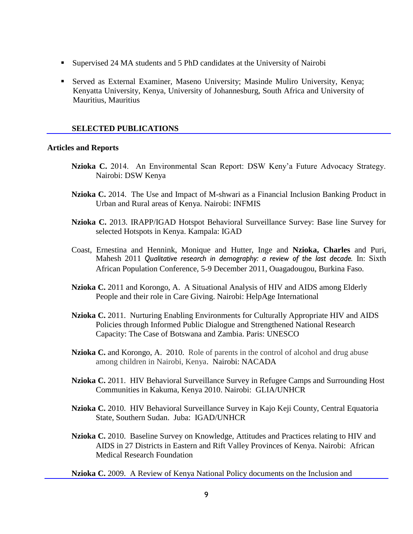- Supervised 24 MA students and 5 PhD candidates at the University of Nairobi
- Served as External Examiner, Maseno University; Masinde Muliro University, Kenya; Kenyatta University, Kenya, University of Johannesburg, South Africa and University of Mauritius, Mauritius

#### **SELECTED PUBLICATIONS**

#### **Articles and Reports**

- **Nzioka C.** 2014. An Environmental Scan Report: DSW Keny'a Future Advocacy Strategy. Nairobi: DSW Kenya
- **Nzioka C.** 2014. The Use and Impact of M-shwari as a Financial Inclusion Banking Product in Urban and Rural areas of Kenya. Nairobi: INFMIS
- **Nzioka C.** 2013. IRAPP/IGAD Hotspot Behavioral Surveillance Survey: Base line Survey for selected Hotspots in Kenya. Kampala: IGAD
- Coast, Ernestina and Hennink, Monique and Hutter, Inge and **Nzioka, Charles** and Puri, Mahesh 2011 *Qualitative research in demography: a review of the last decade.* In: Sixth African Population Conference, 5-9 December 2011, Ouagadougou, Burkina Faso.
- **Nzioka C.** 2011 and Korongo, A. A Situational Analysis of HIV and AIDS among Elderly People and their role in Care Giving. Nairobi: HelpAge International
- **Nzioka C.** 2011. Nurturing Enabling Environments for Culturally Appropriate HIV and AIDS Policies through Informed Public Dialogue and Strengthened National Research Capacity: The Case of Botswana and Zambia. Paris: UNESCO
- **Nzioka C.** and Korongo, A.2010. Role of parents in the control of alcohol and drug abuse among children in Nairobi, Kenya. Nairobi: NACADA
- **Nzioka C.** 2011. HIV Behavioral Surveillance Survey in Refugee Camps and Surrounding Host Communities in Kakuma, Kenya 2010. Nairobi: GLIA/UNHCR
- **Nzioka C.** 2010. HIV Behavioral Surveillance Survey in Kajo Keji County, Central Equatoria State, Southern Sudan. Juba: IGAD/UNHCR
- **Nzioka C.** 2010. Baseline Survey on Knowledge, Attitudes and Practices relating to HIV and AIDS in 27 Districts in Eastern and Rift Valley Provinces of Kenya. Nairobi: African Medical Research Foundation

**Nzioka C.** 2009. A Review of Kenya National Policy documents on the Inclusion and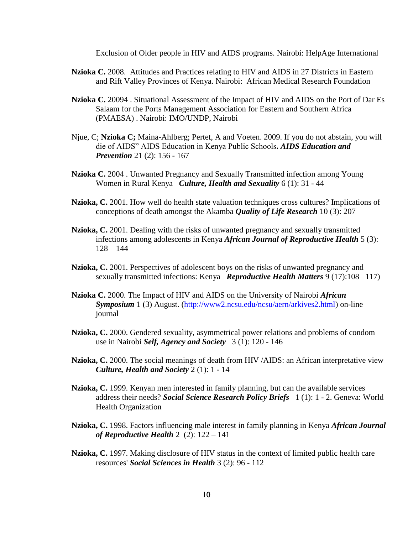Exclusion of Older people in HIV and AIDS programs. Nairobi: HelpAge International

- **Nzioka C.** 2008. Attitudes and Practices relating to HIV and AIDS in 27 Districts in Eastern and Rift Valley Provinces of Kenya. Nairobi: African Medical Research Foundation
- **Nzioka C.** 20094 . Situational Assessment of the Impact of HIV and AIDS on the Port of Dar Es Salaam for the Ports Management Association for Eastern and Southern Africa (PMAESA) . Nairobi: IMO/UNDP, Nairobi
- Njue, C; **Nzioka C;** Maina-Ahlberg; Pertet, A and Voeten. 2009. If you do not abstain, you will die of AIDS" AIDS Education in Kenya Public Schools**.** *AIDS Education and Prevention* 21 (2): 156 - 167
- **Nzioka C.** 2004 . Unwanted Pregnancy and Sexually Transmitted infection among Young Women in Rural Kenya *Culture, Health and Sexuality* 6 (1): 31 - 44
- **Nzioka, C.** 2001. How well do health state valuation techniques cross cultures? Implications of conceptions of death amongst the Akamba *Quality of Life Research* 10 (3): 207
- **Nzioka, C.** 2001. Dealing with the risks of unwanted pregnancy and sexually transmitted infections among adolescents in Kenya *African Journal of Reproductive Health* 5 (3):  $128 - 144$
- **Nzioka, C.** 2001. Perspectives of adolescent boys on the risks of unwanted pregnancy and sexually transmitted infections: Kenya *Reproductive Health Matters* 9 (17):108– 117)
- **Nzioka C.** 2000. The Impact of HIV and AIDS on the University of Nairobi *African Symposium* 1 (3) August. [\(http://www2.ncsu.edu/ncsu/aern/arkives2.html\)](http://www2.ncsu.edu/ncsu/aern/arkives2.html) on-line journal
- **Nzioka, C.** 2000. Gendered sexuality, asymmetrical power relations and problems of condom use in Nairobi *Self, Agency and Society* 3 (1): 120 - 146
- **Nzioka, C.** 2000. The social meanings of death from HIV /AIDS: an African interpretative view *Culture, Health and Society* 2 (1): 1 - 14
- **Nzioka, C.** 1999. Kenyan men interested in family planning, but can the available services address their needs? *Social Science Research Policy Briefs* 1 (1): 1 - 2. Geneva: World Health Organization
- **Nzioka, C.** 1998. Factors influencing male interest in family planning in Kenya *African Journal of Reproductive Health* 2 (2): 122 – 141
- **Nzioka, C.** 1997. Making disclosure of HIV status in the context of limited public health care resources' *Social Sciences in Health* 3 (2): 96 - 112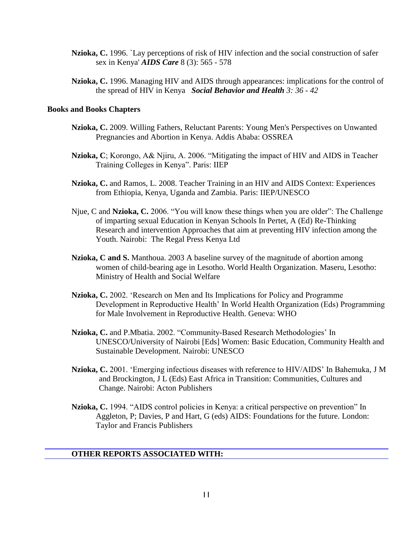- **Nzioka, C.** 1996. `Lay perceptions of risk of HIV infection and the social construction of safer sex in Kenya' *AIDS Care* 8 (3): 565 - 578
- **Nzioka, C.** 1996. Managing HIV and AIDS through appearances: implications for the control of the spread of HIV in Kenya *Social Behavior and Health 3: 36 - 42*

### **Books and Books Chapters**

- **Nzioka, C.** 2009. [Willing Fathers, Reluctant Parents:](http://www.africanbookscollective.com/books/willing-fathers-reluctant-parents) Young Men's Perspectives on Unwanted Pregnancies and Abortion in Kenya. Addis Ababa: OSSREA
- **Nzioka, C**; Korongo, A& Njiru, A. 2006. "Mitigating the impact of HIV and AIDS in Teacher Training Colleges in Kenya". Paris: IIEP
- **Nzioka, C.** and Ramos, L. 2008. Teacher Training in an HIV and AIDS Context: Experiences from Ethiopia, Kenya, Uganda and Zambia. Paris: IIEP/UNESCO
- Njue, C and **Nzioka, C.** 2006. "You will know these things when you are older": The Challenge of imparting sexual Education in Kenyan Schools In Pertet, A (Ed) Re-Thinking Research and intervention Approaches that aim at preventing HIV infection among the Youth. Nairobi: The Regal Press Kenya Ltd
- **Nzioka, C and S.** Manthoua. 2003 [A baseline survey of the magnitude of abortion among](http://blds.ids.ac.uk/cf/opaccf/detailed.cfm?RN=252887)  [women of child-bearing age in Lesotho.](http://blds.ids.ac.uk/cf/opaccf/detailed.cfm?RN=252887) World Health Organization. Maseru, Lesotho: Ministry of Health and Social Welfare
- **Nzioka, C.** 2002. 'Research on Men and Its Implications for Policy and Programme Development in Reproductive Health' In World Health Organization (Eds) Programming for Male Involvement in Reproductive Health. Geneva: WHO
- **Nzioka, C.** and P.Mbatia. 2002. "Community-Based Research Methodologies' In UNESCO/University of Nairobi [Eds] Women: Basic Education, Community Health and Sustainable Development. Nairobi: UNESCO
- **Nzioka, C.** 2001. 'Emerging infectious diseases with reference to HIV/AIDS' In Bahemuka, J M and Brockington, J L (Eds) East Africa in Transition: Communities, Cultures and Change. Nairobi: Acton Publishers
- **Nzioka, C.** 1994. "AIDS control policies in Kenya: a critical perspective on prevention" In Aggleton, P; Davies, P and Hart, G (eds) AIDS: Foundations for the future. London: Taylor and Francis Publishers

### **OTHER REPORTS ASSOCIATED WITH:**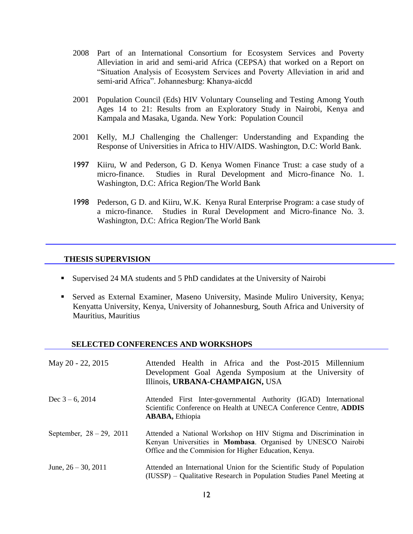- 2008 Part of an International Consortium for Ecosystem Services and Poverty Alleviation in arid and semi-arid Africa (CEPSA) that worked on a Report on "Situation Analysis of Ecosystem Services and Poverty Alleviation in arid and semi-arid Africa". Johannesburg: Khanya-aicdd
- 2001 Population Council (Eds) HIV Voluntary Counseling and Testing Among Youth Ages 14 to 21: Results from an Exploratory Study in Nairobi, Kenya and Kampala and Masaka, Uganda. New York: Population Council
- 2001 Kelly, M.J Challenging the Challenger: Understanding and Expanding the Response of Universities in Africa to HIV/AIDS. Washington, D.C: World Bank.
- 1997 Kiiru, W and Pederson, G D. Kenya Women Finance Trust: a case study of a micro-finance. Studies in Rural Development and Micro-finance No. 1. Washington, D.C: Africa Region/The World Bank
- 1998 Pederson, G D. and Kiiru, W.K. Kenya Rural Enterprise Program: a case study of a micro-finance. Studies in Rural Development and Micro-finance No. 3. Washington, D.C: Africa Region/The World Bank

#### **THESIS SUPERVISION**

- Supervised 24 MA students and 5 PhD candidates at the University of Nairobi
- Served as External Examiner, Maseno University, Masinde Muliro University, Kenya; Kenyatta University, Kenya, University of Johannesburg, South Africa and University of Mauritius, Mauritius

#### **SELECTED CONFERENCES AND WORKSHOPS**

| May 20 - 22, 2015           | Attended Health in Africa and the Post-2015 Millennium<br>Development Goal Agenda Symposium at the University of<br>Illinois, URBANA-CHAMPAIGN, USA                                      |
|-----------------------------|------------------------------------------------------------------------------------------------------------------------------------------------------------------------------------------|
| Dec $3 - 6$ , 2014          | Attended First Inter-governmental Authority (IGAD) International<br>Scientific Conference on Health at UNECA Conference Centre, ADDIS<br><b>ABABA</b> , Ethiopia                         |
| September, $28 - 29$ , 2011 | Attended a National Workshop on HIV Stigma and Discrimination in<br>Kenyan Universities in Mombasa. Organised by UNESCO Nairobi<br>Office and the Commision for Higher Education, Kenya. |
| June, $26 - 30$ , $2011$    | Attended an International Union for the Scientific Study of Population<br>(IUSSP) – Qualitative Research in Population Studies Panel Meeting at                                          |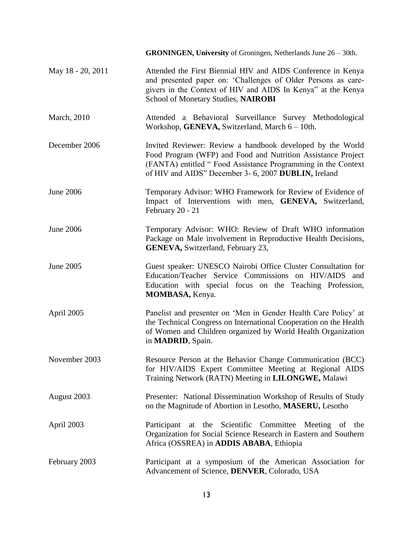|                     | <b>GRONINGEN, University</b> of Groningen, Netherlands June $26 - 30$ th.                                                                                                                                                                          |
|---------------------|----------------------------------------------------------------------------------------------------------------------------------------------------------------------------------------------------------------------------------------------------|
| May 18 - 20, 2011   | Attended the First Biennial HIV and AIDS Conference in Kenya<br>and presented paper on: 'Challenges of Older Persons as care-<br>givers in the Context of HIV and AIDS In Kenya" at the Kenya<br>School of Monetary Studies, NAIROBI               |
| <b>March</b> , 2010 | Attended a Behavioral Surveillance Survey Methodological<br>Workshop, GENEVA, Switzerland, March 6 – 10th.                                                                                                                                         |
| December 2006       | Invited Reviewer: Review a handbook developed by the World<br>Food Program (WFP) and Food and Nutrition Assistance Project<br>(FANTA) entitled "Food Assistance Programming in the Context<br>of HIV and AIDS" December 3- 6, 2007 DUBLIN, Ireland |
| <b>June 2006</b>    | Temporary Advisor: WHO Framework for Review of Evidence of<br>Impact of Interventions with men, GENEVA, Switzerland,<br>February 20 - 21                                                                                                           |
| <b>June 2006</b>    | Temporary Advisor: WHO: Review of Draft WHO information<br>Package on Male involvement in Reproductive Health Decisions,<br><b>GENEVA</b> , Switzerland, February 23,                                                                              |
| June 2005           | Guest speaker: UNESCO Nairobi Office Cluster Consultation for<br>Education/Teacher Service Commissions on HIV/AIDS<br>and<br>Education with special focus on the Teaching Profession,<br>MOMBASA, Kenya.                                           |
| April 2005          | Panelist and presenter on 'Men in Gender Health Care Policy' at<br>the Technical Congress on International Cooperation on the Health<br>of Women and Children organized by World Health Organization<br>in <b>MADRID</b> , Spain.                  |
| November 2003       | Resource Person at the Behavior Change Communication (BCC)<br>for HIV/AIDS Expert Committee Meeting at Regional AIDS<br>Training Network (RATN) Meeting in LILONGWE, Malawi                                                                        |
| August 2003         | Presenter: National Dissemination Workshop of Results of Study<br>on the Magnitude of Abortion in Lesotho, MASERU, Lesotho                                                                                                                         |
| April 2003          | at the Scientific Committee<br>Meeting of the<br>Participant<br>Organization for Social Science Research in Eastern and Southern<br>Africa (OSSREA) in <b>ADDIS ABABA</b> , Ethiopia                                                               |
| February 2003       | Participant at a symposium of the American Association for<br>Advancement of Science, DENVER, Colorado, USA                                                                                                                                        |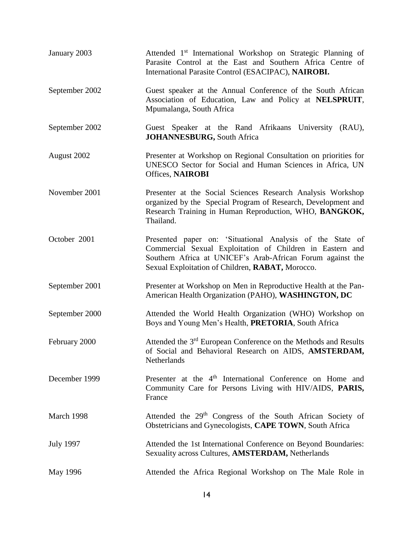| January 2003     | Attended 1 <sup>st</sup> International Workshop on Strategic Planning of<br>Parasite Control at the East and Southern Africa Centre of<br>International Parasite Control (ESACIPAC), NAIROBI.                                            |
|------------------|------------------------------------------------------------------------------------------------------------------------------------------------------------------------------------------------------------------------------------------|
| September 2002   | Guest speaker at the Annual Conference of the South African<br>Association of Education, Law and Policy at NELSPRUIT,<br>Mpumalanga, South Africa                                                                                        |
| September 2002   | Guest Speaker at the Rand Afrikaans University (RAU),<br><b>JOHANNESBURG</b> , South Africa                                                                                                                                              |
| August 2002      | Presenter at Workshop on Regional Consultation on priorities for<br>UNESCO Sector for Social and Human Sciences in Africa, UN<br><b>Offices, NAIROBI</b>                                                                                 |
| November 2001    | Presenter at the Social Sciences Research Analysis Workshop<br>organized by the Special Program of Research, Development and<br>Research Training in Human Reproduction, WHO, BANGKOK,<br>Thailand.                                      |
| October 2001     | Presented paper on: 'Situational Analysis of the State of<br>Commercial Sexual Exploitation of Children in Eastern and<br>Southern Africa at UNICEF's Arab-African Forum against the<br>Sexual Exploitation of Children, RABAT, Morocco. |
| September 2001   | Presenter at Workshop on Men in Reproductive Health at the Pan-<br>American Health Organization (PAHO), WASHINGTON, DC                                                                                                                   |
| September 2000   | Attended the World Health Organization (WHO) Workshop on<br>Boys and Young Men's Health, PRETORIA, South Africa                                                                                                                          |
| February 2000    | Attended the 3 <sup>rd</sup> European Conference on the Methods and Results<br>of Social and Behavioral Research on AIDS, AMSTERDAM,<br>Netherlands                                                                                      |
| December 1999    | Presenter at the 4 <sup>th</sup> International Conference on Home and<br>Community Care for Persons Living with HIV/AIDS, PARIS,<br>France                                                                                               |
| March 1998       | Attended the 29 <sup>th</sup> Congress of the South African Society of<br>Obstetricians and Gynecologists, CAPE TOWN, South Africa                                                                                                       |
| <b>July 1997</b> | Attended the 1st International Conference on Beyond Boundaries:<br>Sexuality across Cultures, AMSTERDAM, Netherlands                                                                                                                     |
| May 1996         | Attended the Africa Regional Workshop on The Male Role in                                                                                                                                                                                |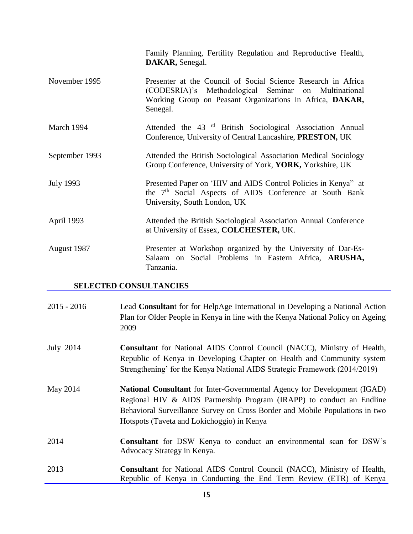|                  | Family Planning, Fertility Regulation and Reproductive Health,<br>DAKAR, Senegal.                                                                                                             |
|------------------|-----------------------------------------------------------------------------------------------------------------------------------------------------------------------------------------------|
| November 1995    | Presenter at the Council of Social Science Research in Africa<br>(CODESRIA)'s Methodological Seminar on Multinational<br>Working Group on Peasant Organizations in Africa, DAKAR,<br>Senegal. |
| March 1994       | Attended the 43 <sup>rd</sup> British Sociological Association Annual<br>Conference, University of Central Lancashire, PRESTON, UK                                                            |
| September 1993   | Attended the British Sociological Association Medical Sociology<br>Group Conference, University of York, YORK, Yorkshire, UK                                                                  |
| <b>July 1993</b> | Presented Paper on 'HIV and AIDS Control Policies in Kenya" at<br>the 7 <sup>th</sup> Social Aspects of AIDS Conference at South Bank<br>University, South London, UK                         |
| April 1993       | Attended the British Sociological Association Annual Conference<br>at University of Essex, COLCHESTER, UK.                                                                                    |
| August 1987      | Presenter at Workshop organized by the University of Dar-Es-<br>Salaam on Social Problems in Eastern Africa, ARUSHA,<br>Tanzania.                                                             |

# **SELECTED CONSULTANCIES**

| $2015 - 2016$ | Lead Consultant for for HelpAge International in Developing a National Action<br>Plan for Older People in Kenya in line with the Kenya National Policy on Ageing<br>2009                                                                                                               |
|---------------|----------------------------------------------------------------------------------------------------------------------------------------------------------------------------------------------------------------------------------------------------------------------------------------|
| July 2014     | <b>Consultant</b> for National AIDS Control Council (NACC), Ministry of Health,<br>Republic of Kenya in Developing Chapter on Health and Community system<br>Strengthening' for the Kenya National AIDS Strategic Framework (2014/2019)                                                |
| May 2014      | <b>National Consultant</b> for Inter-Governmental Agency for Development (IGAD)<br>Regional HIV & AIDS Partnership Program (IRAPP) to conduct an Endline<br>Behavioral Surveillance Survey on Cross Border and Mobile Populations in two<br>Hotspots (Taveta and Lokichoggio) in Kenya |
| 2014          | <b>Consultant</b> for DSW Kenya to conduct an environmental scan for DSW's<br>Advocacy Strategy in Kenya.                                                                                                                                                                              |
| 2013          | <b>Consultant</b> for National AIDS Control Council (NACC), Ministry of Health,<br>Republic of Kenya in Conducting the End Term Review (ETR) of Kenya                                                                                                                                  |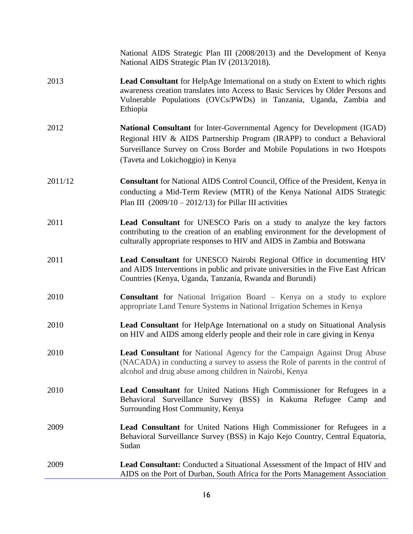|         | National AIDS Strategic Plan III (2008/2013) and the Development of Kenya<br>National AIDS Strategic Plan IV (2013/2018).                                                                                                                                              |
|---------|------------------------------------------------------------------------------------------------------------------------------------------------------------------------------------------------------------------------------------------------------------------------|
| 2013    | <b>Lead Consultant</b> for HelpAge International on a study on Extent to which rights<br>awareness creation translates into Access to Basic Services by Older Persons and<br>Vulnerable Populations (OVCs/PWDs) in Tanzania, Uganda, Zambia and<br>Ethiopia            |
| 2012    | National Consultant for Inter-Governmental Agency for Development (IGAD)<br>Regional HIV & AIDS Partnership Program (IRAPP) to conduct a Behavioral<br>Surveillance Survey on Cross Border and Mobile Populations in two Hotspots<br>(Taveta and Lokichoggio) in Kenya |
| 2011/12 | <b>Consultant</b> for National AIDS Control Council, Office of the President, Kenya in<br>conducting a Mid-Term Review (MTR) of the Kenya National AIDS Strategic<br>Plan III $(2009/10 - 2012/13)$ for Pillar III activities                                          |
| 2011    | <b>Lead Consultant</b> for UNESCO Paris on a study to analyze the key factors<br>contributing to the creation of an enabling environment for the development of<br>culturally appropriate responses to HIV and AIDS in Zambia and Botswana                             |
| 2011    | Lead Consultant for UNESCO Nairobi Regional Office in documenting HIV<br>and AIDS Interventions in public and private universities in the Five East African<br>Countries (Kenya, Uganda, Tanzania, Rwanda and Burundi)                                                 |
| 2010    | <b>Consultant</b> for National Irrigation Board – Kenya on a study to explore<br>appropriate Land Tenure Systems in National Irrigation Schemes in Kenya                                                                                                               |
| 2010    | Lead Consultant for HelpAge International on a study on Situational Analysis<br>on HIV and AIDS among elderly people and their role in care giving in Kenya                                                                                                            |
| 2010    | Lead Consultant for National Agency for the Campaign Against Drug Abuse<br>(NACADA) in conducting a survey to assess the Role of parents in the control of<br>alcohol and drug abuse among children in Nairobi, Kenya                                                  |
| 2010    | <b>Lead Consultant</b> for United Nations High Commissioner for Refugees in a<br>Behavioral Surveillance Survey (BSS) in Kakuma Refugee Camp and<br>Surrounding Host Community, Kenya                                                                                  |
| 2009    | <b>Lead Consultant</b> for United Nations High Commissioner for Refugees in a<br>Behavioral Surveillance Survey (BSS) in Kajo Kejo Country, Central Equatoria,<br>Sudan                                                                                                |
| 2009    | <b>Lead Consultant:</b> Conducted a Situational Assessment of the Impact of HIV and<br>AIDS on the Port of Durban, South Africa for the Ports Management Association                                                                                                   |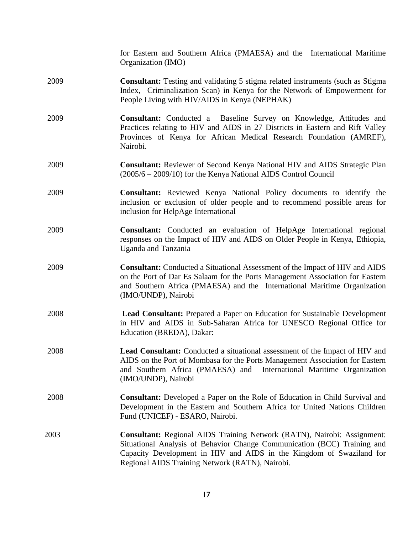|      | for Eastern and Southern Africa (PMAESA) and the International Maritime<br>Organization (IMO)                                                                                                                                                                                  |
|------|--------------------------------------------------------------------------------------------------------------------------------------------------------------------------------------------------------------------------------------------------------------------------------|
| 2009 | <b>Consultant:</b> Testing and validating 5 stigma related instruments (such as Stigma<br>Index, Criminalization Scan) in Kenya for the Network of Empowerment for<br>People Living with HIV/AIDS in Kenya (NEPHAK)                                                            |
| 2009 | <b>Consultant:</b> Conducted a Baseline Survey on Knowledge, Attitudes and<br>Practices relating to HIV and AIDS in 27 Districts in Eastern and Rift Valley<br>Provinces of Kenya for African Medical Research Foundation (AMREF),<br>Nairobi.                                 |
| 2009 | <b>Consultant:</b> Reviewer of Second Kenya National HIV and AIDS Strategic Plan<br>$(2005/6 - 2009/10)$ for the Kenya National AIDS Control Council                                                                                                                           |
| 2009 | <b>Consultant:</b> Reviewed Kenya National Policy documents to identify the<br>inclusion or exclusion of older people and to recommend possible areas for<br>inclusion for HelpAge International                                                                               |
| 2009 | Consultant: Conducted an evaluation of HelpAge International regional<br>responses on the Impact of HIV and AIDS on Older People in Kenya, Ethiopia,<br><b>Uganda</b> and Tanzania                                                                                             |
| 2009 | <b>Consultant:</b> Conducted a Situational Assessment of the Impact of HIV and AIDS<br>on the Port of Dar Es Salaam for the Ports Management Association for Eastern<br>and Southern Africa (PMAESA) and the International Maritime Organization<br>(IMO/UNDP), Nairobi        |
| 2008 | <b>Lead Consultant:</b> Prepared a Paper on Education for Sustainable Development<br>in HIV and AIDS in Sub-Saharan Africa for UNESCO Regional Office for<br>Education (BREDA), Dakar:                                                                                         |
| 2008 | Lead Consultant: Conducted a situational assessment of the Impact of HIV and<br>AIDS on the Port of Mombasa for the Ports Management Association for Eastern<br>and Southern Africa (PMAESA) and International Maritime Organization<br>(IMO/UNDP), Nairobi                    |
| 2008 | <b>Consultant:</b> Developed a Paper on the Role of Education in Child Survival and<br>Development in the Eastern and Southern Africa for United Nations Children<br>Fund (UNICEF) - ESARO, Nairobi.                                                                           |
| 2003 | Consultant: Regional AIDS Training Network (RATN), Nairobi: Assignment:<br>Situational Analysis of Behavior Change Communication (BCC) Training and<br>Capacity Development in HIV and AIDS in the Kingdom of Swaziland for<br>Regional AIDS Training Network (RATN), Nairobi. |
|      |                                                                                                                                                                                                                                                                                |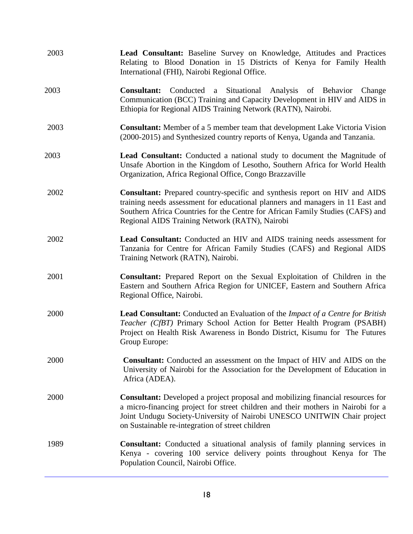| 2003 | Lead Consultant: Baseline Survey on Knowledge, Attitudes and Practices<br>Relating to Blood Donation in 15 Districts of Kenya for Family Health<br>International (FHI), Nairobi Regional Office.                                                                                                          |
|------|-----------------------------------------------------------------------------------------------------------------------------------------------------------------------------------------------------------------------------------------------------------------------------------------------------------|
| 2003 | a Situational Analysis of Behavior<br><b>Consultant:</b><br>Conducted<br>Change<br>Communication (BCC) Training and Capacity Development in HIV and AIDS in<br>Ethiopia for Regional AIDS Training Network (RATN), Nairobi.                                                                               |
| 2003 | <b>Consultant:</b> Member of a 5 member team that development Lake Victoria Vision<br>(2000-2015) and Synthesized country reports of Kenya, Uganda and Tanzania.                                                                                                                                          |
| 2003 | <b>Lead Consultant:</b> Conducted a national study to document the Magnitude of<br>Unsafe Abortion in the Kingdom of Lesotho, Southern Africa for World Health<br>Organization, Africa Regional Office, Congo Brazzaville                                                                                 |
| 2002 | Consultant: Prepared country-specific and synthesis report on HIV and AIDS<br>training needs assessment for educational planners and managers in 11 East and<br>Southern Africa Countries for the Centre for African Family Studies (CAFS) and<br>Regional AIDS Training Network (RATN), Nairobi          |
| 2002 | <b>Lead Consultant:</b> Conducted an HIV and AIDS training needs assessment for<br>Tanzania for Centre for African Family Studies (CAFS) and Regional AIDS<br>Training Network (RATN), Nairobi.                                                                                                           |
| 2001 | <b>Consultant:</b> Prepared Report on the Sexual Exploitation of Children in the<br>Eastern and Southern Africa Region for UNICEF, Eastern and Southern Africa<br>Regional Office, Nairobi.                                                                                                               |
| 2000 | <b>Lead Consultant:</b> Conducted an Evaluation of the <i>Impact of a Centre for British</i><br>Teacher (CfBT) Primary School Action for Better Health Program (PSABH)<br>Project on Health Risk Awareness in Bondo District, Kisumu for The Futures<br>Group Europe:                                     |
| 2000 | Consultant: Conducted an assessment on the Impact of HIV and AIDS on the<br>University of Nairobi for the Association for the Development of Education in<br>Africa (ADEA).                                                                                                                               |
| 2000 | <b>Consultant:</b> Developed a project proposal and mobilizing financial resources for<br>a micro-financing project for street children and their mothers in Nairobi for a<br>Joint Undugu Society-University of Nairobi UNESCO UNITWIN Chair project<br>on Sustainable re-integration of street children |
| 1989 | <b>Consultant:</b> Conducted a situational analysis of family planning services in<br>Kenya - covering 100 service delivery points throughout Kenya for The<br>Population Council, Nairobi Office.                                                                                                        |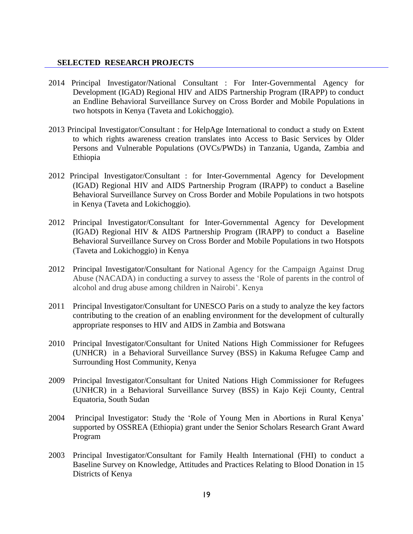### **SELECTED RESEARCH PROJECTS**

- 2014 Principal Investigator/National Consultant : For Inter-Governmental Agency for Development (IGAD) Regional HIV and AIDS Partnership Program (IRAPP) to conduct an Endline Behavioral Surveillance Survey on Cross Border and Mobile Populations in two hotspots in Kenya (Taveta and Lokichoggio).
- 2013 Principal Investigator/Consultant : for HelpAge International to conduct a study on Extent to which rights awareness creation translates into Access to Basic Services by Older Persons and Vulnerable Populations (OVCs/PWDs) in Tanzania, Uganda, Zambia and Ethiopia
- 2012 Principal Investigator/Consultant : for Inter-Governmental Agency for Development (IGAD) Regional HIV and AIDS Partnership Program (IRAPP) to conduct a Baseline Behavioral Surveillance Survey on Cross Border and Mobile Populations in two hotspots in Kenya (Taveta and Lokichoggio).
- 2012 Principal Investigator/Consultant for Inter-Governmental Agency for Development (IGAD) Regional HIV & AIDS Partnership Program (IRAPP) to conduct a Baseline Behavioral Surveillance Survey on Cross Border and Mobile Populations in two Hotspots (Taveta and Lokichoggio) in Kenya
- 2012 Principal Investigator/Consultant for National Agency for the Campaign Against Drug Abuse (NACADA) in conducting a survey to assess the 'Role of parents in the control of alcohol and drug abuse among children in Nairobi'. Kenya
- 2011 Principal Investigator/Consultant for UNESCO Paris on a study to analyze the key factors contributing to the creation of an enabling environment for the development of culturally appropriate responses to HIV and AIDS in Zambia and Botswana
- 2010 Principal Investigator/Consultant for United Nations High Commissioner for Refugees (UNHCR) in a Behavioral Surveillance Survey (BSS) in Kakuma Refugee Camp and Surrounding Host Community, Kenya
- 2009 Principal Investigator/Consultant for United Nations High Commissioner for Refugees (UNHCR) in a Behavioral Surveillance Survey (BSS) in Kajo Keji County, Central Equatoria, South Sudan
- 2004 Principal Investigator: Study the 'Role of Young Men in Abortions in Rural Kenya' supported by OSSREA (Ethiopia) grant under the Senior Scholars Research Grant Award Program
- 2003 Principal Investigator/Consultant for Family Health International (FHI) to conduct a Baseline Survey on Knowledge, Attitudes and Practices Relating to Blood Donation in 15 Districts of Kenya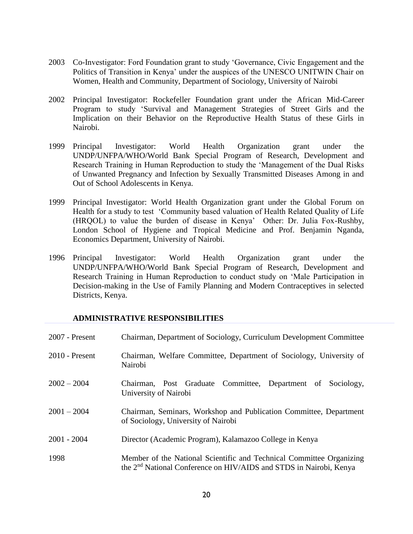- 2003 Co-Investigator: Ford Foundation grant to study 'Governance, Civic Engagement and the Politics of Transition in Kenya' under the auspices of the UNESCO UNITWIN Chair on Women, Health and Community, Department of Sociology, University of Nairobi
- 2002 Principal Investigator: Rockefeller Foundation grant under the African Mid-Career Program to study 'Survival and Management Strategies of Street Girls and the Implication on their Behavior on the Reproductive Health Status of these Girls in Nairobi.
- 1999 Principal Investigator: World Health Organization grant under the UNDP/UNFPA/WHO/World Bank Special Program of Research, Development and Research Training in Human Reproduction to study the 'Management of the Dual Risks of Unwanted Pregnancy and Infection by Sexually Transmitted Diseases Among in and Out of School Adolescents in Kenya.
- 1999 Principal Investigator: World Health Organization grant under the Global Forum on Health for a study to test 'Community based valuation of Health Related Quality of Life (HRQOL) to value the burden of disease in Kenya' Other: Dr. Julia Fox-Rushby, London School of Hygiene and Tropical Medicine and Prof. Benjamin Nganda, Economics Department, University of Nairobi.
- 1996 Principal Investigator: World Health Organization grant under the UNDP/UNFPA/WHO/World Bank Special Program of Research, Development and Research Training in Human Reproduction to conduct study on 'Male Participation in Decision-making in the Use of Family Planning and Modern Contraceptives in selected Districts, Kenya.

### **ADMINISTRATIVE RESPONSIBILITIES**

| 2007 - Present | Chairman, Department of Sociology, Curriculum Development Committee                                                                                    |
|----------------|--------------------------------------------------------------------------------------------------------------------------------------------------------|
| 2010 - Present | Chairman, Welfare Committee, Department of Sociology, University of<br>Nairobi                                                                         |
| $2002 - 2004$  | Chairman, Post Graduate Committee, Department of Sociology,<br>University of Nairobi                                                                   |
| $2001 - 2004$  | Chairman, Seminars, Workshop and Publication Committee, Department<br>of Sociology, University of Nairobi                                              |
| $2001 - 2004$  | Director (Academic Program), Kalamazoo College in Kenya                                                                                                |
| 1998           | Member of the National Scientific and Technical Committee Organizing<br>the 2 <sup>nd</sup> National Conference on HIV/AIDS and STDS in Nairobi, Kenya |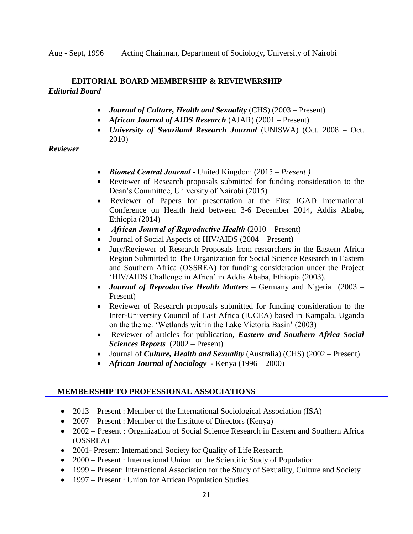Aug - Sept, 1996 Acting Chairman, Department of Sociology, University of Nairobi

## **EDITORIAL BOARD MEMBERSHIP & REVIEWERSHIP**

### *Editorial Board*

- *Journal of Culture, Health and Sexuality* (CHS) (2003 Present)
- *African Journal of AIDS Research* (AJAR) (2001 Present)
- *University of Swaziland Research Journal* (UNISWA) (Oct. 2008 Oct. 2010)

### *Reviewer*

- *Biomed Central Journal* United Kingdom (2015 *– Present )*
- Reviewer of Research proposals submitted for funding consideration to the Dean's Committee, University of Nairobi (2015)
- Reviewer of Papers for presentation at the First IGAD International Conference on Health held between 3-6 December 2014, Addis Ababa, Ethiopia (2014)
- *African Journal of Reproductive Health* (2010 *–* Present)
- Journal of Social Aspects of HIV/AIDS (2004 Present)
- Jury/Reviewer of Research Proposals from researchers in the Eastern Africa Region Submitted to The Organization for Social Science Research in Eastern and Southern Africa (OSSREA) for funding consideration under the Project 'HIV/AIDS Challenge in Africa' in Addis Ababa, Ethiopia (2003).
- *Journal of Reproductive Health Matters –* Germany and Nigeria (2003 Present)
- Reviewer of Research proposals submitted for funding consideration to the Inter-University Council of East Africa (IUCEA) based in Kampala, Uganda on the theme: 'Wetlands within the Lake Victoria Basin' (2003)
- Reviewer of articles for publication, *Eastern and Southern Africa Social Sciences Reports* (2002 – Present)
- Journal of *Culture, Health and Sexuality* (Australia) (CHS) (2002 Present)
- *African Journal of Sociology* Kenya (1996 2000)

## **MEMBERSHIP TO PROFESSIONAL ASSOCIATIONS**

- 2013 Present : Member of the International Sociological Association (ISA)
- 2007 Present : Member of the Institute of Directors (Kenya)
- 2002 Present : Organization of Social Science Research in Eastern and Southern Africa (OSSREA)
- 2001- Present: International Society for Quality of Life Research
- 2000 Present : International Union for the Scientific Study of Population
- 1999 Present: International Association for the Study of Sexuality, Culture and Society
- 1997 Present : Union for African Population Studies